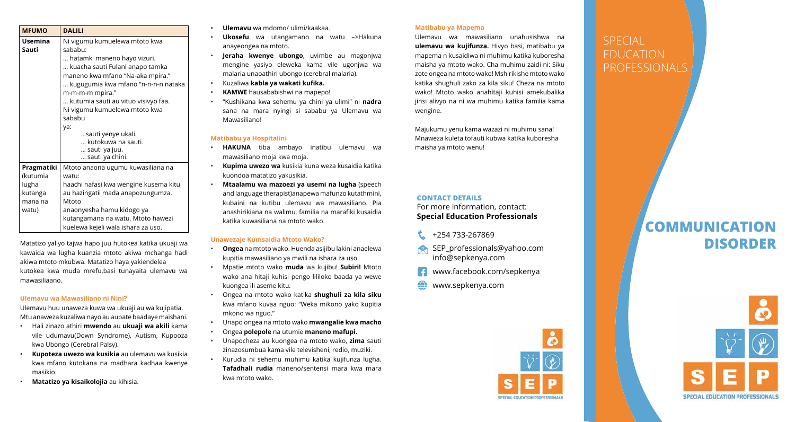| <b>MFUMO</b>            | <b>DALILI</b>                                                  |
|-------------------------|----------------------------------------------------------------|
| <b>Usemina</b><br>Sauti | Ni vigumu kumuelewa mtoto kwa<br>sababu:                       |
|                         | hatamki maneno hayo vizuri.<br>kuacha sauti Fulani anapo tamka |
|                         | maneno kwa mfano "Na-aka mpira."                               |
|                         | kugugumia kwa mfano "n-n-n-n nataka<br>m-m-m-m mpira."         |
|                         | kutumia sauti au vituo visivyo faa.                            |
|                         | Ni vigumu kumuelewa mtoto kwa                                  |
|                         | sababu                                                         |
|                         | ya:                                                            |
|                         | sauti yenye ukali.                                             |
|                         | kutokuwa na sauti.                                             |
|                         | sauti ya juu.                                                  |
|                         | sauti ya chini.                                                |
| Pragmatiki              | Mtoto anaona ugumu kuwasiliana na                              |
| (kutumia                | watu:                                                          |
| lugha                   | haachi nafasi kwa wengine kusema kitu                          |
| kutanga                 | au hazingatii mada anapozungumza.                              |
| mana na                 | Mtoto                                                          |
| watu)                   | anaonyesha hamu kidogo ya                                      |
|                         | kutangamana na watu. Mtoto hawezi                              |
|                         | kuelewa kejeli wala ishara za uso.                             |

Matatizo yaliyo tajwa hapo juu hutokea katika ukuaji wa kawaida wa lugha kuanzia mtoto akiwa mchanga hadi akiwa mtoto mkubwa. Matatizo haya yakiendelea kutokea kwa muda mrefu,basi tunayaita ulemavu wa mawasiliaano.

#### **Ulemavu wa Mawasiliano ni Nini?**

Ulemavu huu unaweza kuwa wa ukuaji au wa kujipatia. Mtu anaweza kuzaliwa nayo au aupate baadaye maishani.

- Hali zinazo athiri **mwendo** au **ukuaji wa akili** kama vile udumavu(Down Syndrome), Autism, Kupooza kwa Ubongo (Cerebral Palsy).
- **Kupoteza uwezo wa kusikia** au ulemavu wa kusikia kwa mfano kutokana na madhara kadhaa kwenye masikio.
- **Matatizo ya kisaikolojia** au kihisia.
- **Ulemavu** wa mdomo/ ulimi/kaakaa.
- **Ukosefu** wa utangamano na watu –>Hakuna anayeongea na mtoto.
- **Jeraha kwenye ubongo**, uvimbe au magonjwa mengine yasiyo eleweka kama vile ugonjwa wa malaria unaoathiri ubongo (cerebral malaria).
- Kuzaliwa **kabla ya wakati kufika.**
- **KAMWE** hausababishwi na mapepo!
- "Kushikana kwa sehemu ya chini ya ulimi" ni **nadra** sana na mara nyingi si sababu ya Ulemavu wa Mawasiliano!

### **Matibabu ya Hospitalini**

- **HAKUNA** tiba ambayo inatibu ulemavu wa mawasiliano moja kwa moja.
- **Kupima uwezo wa** kusikia kuna weza kusaidia katika kuondoa matatizo yakusikia.
- **Mtaalamu wa mazoezi ya usemi na lugha** (speech and language therapist)anapewa mafunzo kutathmini, kubaini na kutibu ulemavu wa mawasiliano. Pia anashirikiana na walimu, familia na marafiki kusaidia katika kuwasiliana na mtoto wako.

#### **Unawezaje Kumsaidia Mtoto Wako?**

- **Ongea** na mtoto wako. Huenda asijibu lakini anaelewa kupitia mawasiliano ya mwili na ishara za uso.
- Mpatie mtoto wako **muda** wa kujibu! **Subiri!** Mtoto wako ana hitaji kuhisi pengo lililoko baada ya wewe kuongea ili aseme kitu.
- Ongea na mtoto wako katika **shughuli za kila siku** kwa mfano kuvaa nguo: "Weka mikono yako kupitia mkono wa nguo."
- Unapo ongea na mtoto wako **mwangalie kwa macho**
- Ongea **polepole** na utumie **maneno mafupi.**
- Unapocheza au kuongea na mtoto wako, **zima** sauti zinazosumbua kama vile televisheni, redio, muziki.
- Kurudia ni sehemu muhimu katika kujifunza lugha. **Tafadhali rudia** maneno/sentensi mara kwa mara kwa mtoto wako.

#### **Matibabu ya Mapema**

Ulemavu wa mawasiliano unahusishwa na **ulemavu wa kujifunza.** Hivyo basi, matibabu ya mapema n kusaidiwa ni muhimu katika kuboresha maisha ya mtoto wako. Cha muhimu zaidi ni: Siku zote ongea na mtoto wako! Mshirikishe mtoto wako katika shughuli zako za kila siku! Cheza na mtoto wako! Mtoto wako anahitaji kuhisi amekubalika jinsi alivyo na ni wa muhimu katika familia kama wengine.

Majukumu yenu kama wazazi ni muhimu sana! Mnaweza kuleta tofauti kubwa katika kuboresha maisha ya mtoto wenu!

## **CONTACT DETAILS**  For more information, contact: **Special Education Professionals**

- +254 733-267869
- SEP\_professionals@yahoo.com info@sepkenya.com
- www.facebook.com/sepkenya
- **WWW.sepkenya.com**



# **SPECIAL** EDUCATION PROFESSIONALS

# **COMMUNICATION DISORDER**